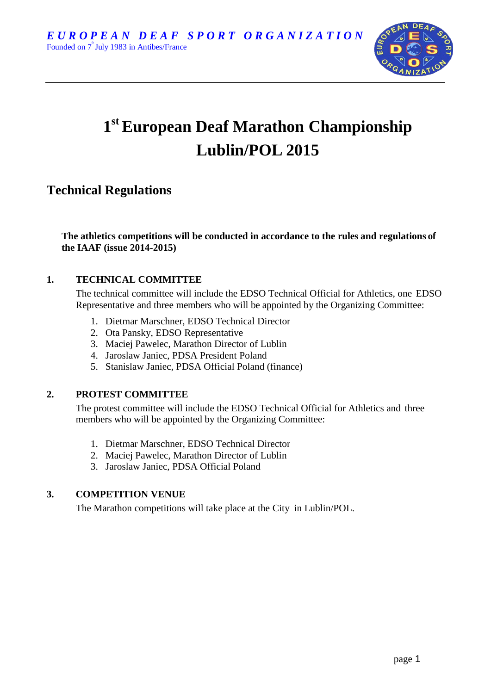

# **1 st European Deaf Marathon Championship Lublin/POL 2015**

# **Technical Regulations**

**The athletics competitions will be conducted in accordance to the rules and regulations of the IAAF (issue 2014-2015)**

# **1. TECHNICAL COMMITTEE**

The technical committee will include the EDSO Technical Official for Athletics, one EDSO Representative and three members who will be appointed by the Organizing Committee:

- 1. Dietmar Marschner, EDSO Technical Director
- 2. Ota Pansky, EDSO Representative
- 3. Maciej Pawelec, Marathon Director of Lublin
- 4. Jaroslaw Janiec, PDSA President Poland
- 5. Stanislaw Janiec, PDSA Official Poland (finance)

# **2. PROTEST COMMITTEE**

The protest committee will include the EDSO Technical Official for Athletics and three members who will be appointed by the Organizing Committee:

- 1. Dietmar Marschner, EDSO Technical Director
- 2. Maciej Pawelec, Marathon Director of Lublin
- 3. Jaroslaw Janiec, PDSA Official Poland

# **3. COMPETITION VENUE**

The Marathon competitions will take place at the City in Lublin/POL.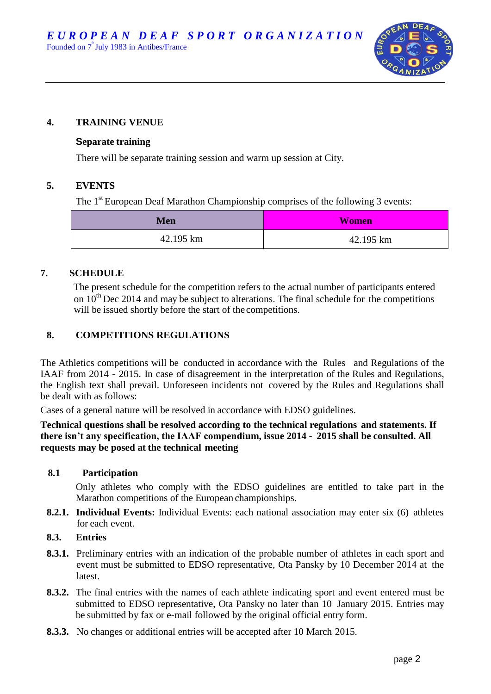

# **4. TRAINING VENUE**

#### **Separate training**

There will be separate training session and warm up session at City.

#### **5. EVENTS**

The 1<sup>st</sup> European Deaf Marathon Championship comprises of the following 3 events:

| Men       | <b>Women</b> |
|-----------|--------------|
| 42.195 km | 42.195 km    |

# **7. SCHEDULE**

The present schedule for the competition refers to the actual number of participants entered on  $10^{th}$  Dec 2014 and may be subject to alterations. The final schedule for the competitions will be issued shortly before the start of the competitions.

# **8. COMPETITIONS REGULATIONS**

The Athletics competitions will be conducted in accordance with the Rules and Regulations of the IAAF from 2014 - 2015. In case of disagreement in the interpretation of the Rules and Regulations, the English text shall prevail. Unforeseen incidents not covered by the Rules and Regulations shall be dealt with as follows:

Cases of a general nature will be resolved in accordance with EDSO guidelines.

#### **Technical questions shall be resolved according to the technical regulations and statements. If there isn't any specification, the IAAF compendium, issue 2014 - 2015 shall be consulted. All requests may be posed at the technical meeting**

#### **8.1 Participation**

Only athletes who comply with the EDSO guidelines are entitled to take part in the Marathon competitions of the European championships.

- **8.2.1. Individual Events:** Individual Events: each national association may enter six (6) athletes for each event.
- **8.3. Entries**
- **8.3.1.** Preliminary entries with an indication of the probable number of athletes in each sport and event must be submitted to EDSO representative, Ota Pansky by 10 December 2014 at the latest.
- **8.3.2.** The final entries with the names of each athlete indicating sport and event entered must be submitted to EDSO representative, Ota Pansky no later than 10 January 2015. Entries may be submitted by fax or e-mail followed by the original official entry form.
- **8.3.3.** No changes or additional entries will be accepted after 10 March 2015.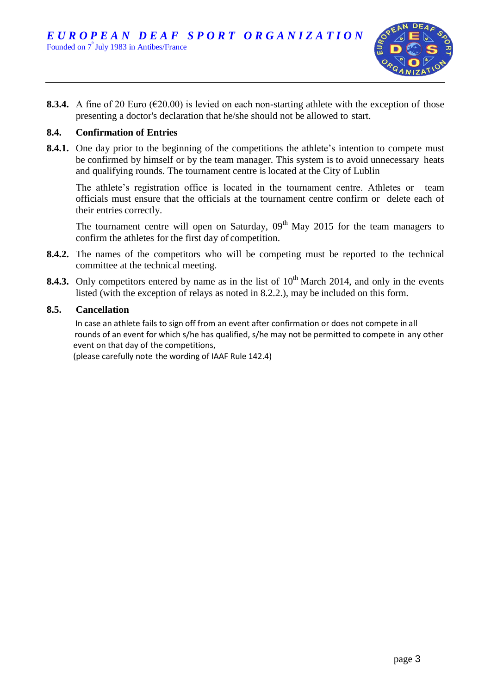

**8.3.4.** A fine of 20 Euro ( $\epsilon$ 20.00) is levied on each non-starting athlete with the exception of those presenting a doctor's declaration that he/she should not be allowed to start.

#### **8.4. Confirmation of Entries**

**8.4.1.** One day prior to the beginning of the competitions the athlete's intention to compete must be confirmed by himself or by the team manager. This system is to avoid unnecessary heats and qualifying rounds. The tournament centre is located at the City of Lublin

The athlete's registration office is located in the tournament centre. Athletes or team officials must ensure that the officials at the tournament centre confirm or delete each of their entries correctly.

The tournament centre will open on Saturday,  $0.9<sup>th</sup>$  May 2015 for the team managers to confirm the athletes for the first day of competition.

- **8.4.2.** The names of the competitors who will be competing must be reported to the technical committee at the technical meeting.
- **8.4.3.** Only competitors entered by name as in the list of 10<sup>th</sup> March 2014, and only in the events listed (with the exception of relays as noted in 8.2.2.), may be included on this form.

#### **8.5. Cancellation**

 In case an athlete fails to sign off from an event after confirmation or does not compete in all rounds of an event for which s/he has qualified, s/he may not be permitted to compete in any other event on that day of the competitions,

(please carefully note the wording of IAAF Rule 142.4)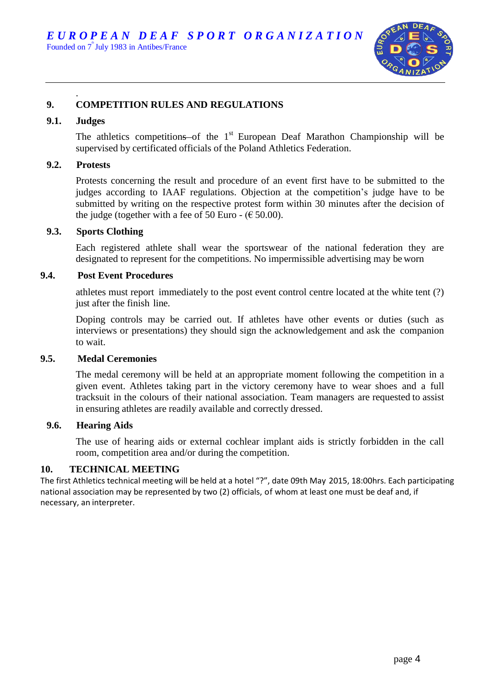

#### . **9. COMPETITION RULES AND REGULATIONS**

#### **9.1. Judges**

The athletics competitions of the  $1<sup>st</sup>$  European Deaf Marathon Championship will be supervised by certificated officials of the Poland Athletics Federation.

#### **9.2. Protests**

Protests concerning the result and procedure of an event first have to be submitted to the judges according to IAAF regulations. Objection at the competition's judge have to be submitted by writing on the respective protest form within 30 minutes after the decision of the judge (together with a fee of 50 Euro -  $(\epsilon 50.00)$ .

#### **9.3. Sports Clothing**

Each registered athlete shall wear the sportswear of the national federation they are designated to represent for the competitions. No impermissible advertising may be worn

#### **9.4. Post Event Procedures**

athletes must report immediately to the post event control centre located at the white tent (?) just after the finish line.

Doping controls may be carried out. If athletes have other events or duties (such as interviews or presentations) they should sign the acknowledgement and ask the companion to wait.

#### **9.5. Medal Ceremonies**

The medal ceremony will be held at an appropriate moment following the competition in a given event. Athletes taking part in the victory ceremony have to wear shoes and a full tracksuit in the colours of their national association. Team managers are requested to assist in ensuring athletes are readily available and correctly dressed.

#### **9.6. Hearing Aids**

The use of hearing aids or external cochlear implant aids is strictly forbidden in the call room, competition area and/or during the competition.

#### **10. TECHNICAL MEETING**

The first Athletics technical meeting will be held at a hotel "?", date 09th May 2015, 18:00hrs. Each participating national association may be represented by two (2) officials, of whom at least one must be deaf and, if necessary, an interpreter.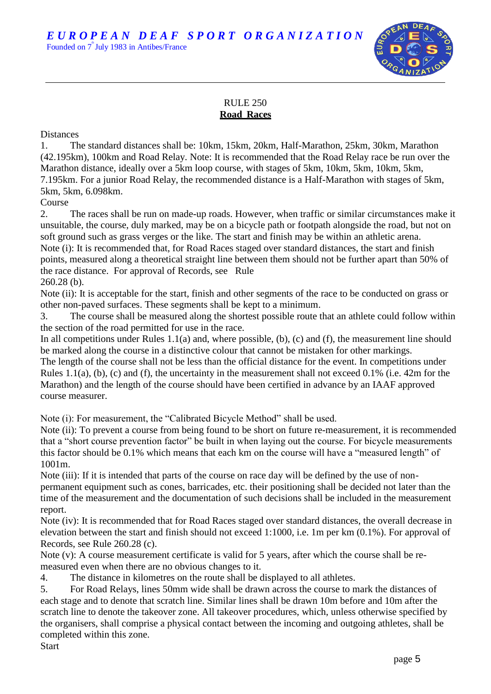EUROPEAN DEAF SPORT ORGANIZATION Founded on 7<sup>"</sup> July 1983 in Antibes/France

# RULE 250 **Road Races**

**Distances** 

1. The standard distances shall be: 10km, 15km, 20km, Half-Marathon, 25km, 30km, Marathon (42.195km), 100km and Road Relay. Note: It is recommended that the Road Relay race be run over the Marathon distance, ideally over a 5km loop course, with stages of 5km, 10km, 5km, 10km, 5km, 7.195km. For a junior Road Relay, the recommended distance is a Half-Marathon with stages of 5km, 5km, 5km, 6.098km.

Course

2. The races shall be run on made-up roads. However, when traffic or similar circumstances make it unsuitable, the course, duly marked, may be on a bicycle path or footpath alongside the road, but not on soft ground such as grass verges or the like. The start and finish may be within an athletic arena. Note (i): It is recommended that, for Road Races staged over standard distances, the start and finish points, measured along a theoretical straight line between them should not be further apart than 50% of the race distance. For approval of Records, see Rule

260.28 (b).

Note (ii): It is acceptable for the start, finish and other segments of the race to be conducted on grass or other non-paved surfaces. These segments shall be kept to a minimum.

3. The course shall be measured along the shortest possible route that an athlete could follow within the section of the road permitted for use in the race.

In all competitions under Rules  $1.1(a)$  and, where possible, (b), (c) and (f), the measurement line should be marked along the course in a distinctive colour that cannot be mistaken for other markings.

The length of the course shall not be less than the official distance for the event. In competitions under Rules 1.1(a), (b), (c) and (f), the uncertainty in the measurement shall not exceed 0.1% (i.e. 42m for the Marathon) and the length of the course should have been certified in advance by an IAAF approved course measurer.

Note (i): For measurement, the "Calibrated Bicycle Method" shall be used.

Note (ii): To prevent a course from being found to be short on future re-measurement, it is recommended that a "short course prevention factor" be built in when laying out the course. For bicycle measurements this factor should be 0.1% which means that each km on the course will have a "measured length" of 1001m.

Note (iii): If it is intended that parts of the course on race day will be defined by the use of nonpermanent equipment such as cones, barricades, etc. their positioning shall be decided not later than the time of the measurement and the documentation of such decisions shall be included in the measurement report.

Note (iv): It is recommended that for Road Races staged over standard distances, the overall decrease in elevation between the start and finish should not exceed 1:1000, i.e. 1m per km (0.1%). For approval of Records, see Rule 260.28 (c).

Note (v): A course measurement certificate is valid for 5 years, after which the course shall be remeasured even when there are no obvious changes to it.

4. The distance in kilometres on the route shall be displayed to all athletes.

5. For Road Relays, lines 50mm wide shall be drawn across the course to mark the distances of each stage and to denote that scratch line. Similar lines shall be drawn 10m before and 10m after the scratch line to denote the takeover zone. All takeover procedures, which, unless otherwise specified by the organisers, shall comprise a physical contact between the incoming and outgoing athletes, shall be completed within this zone.

**Start**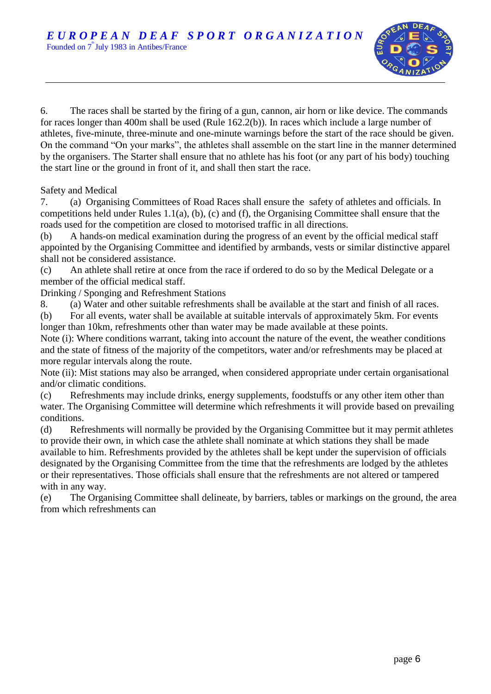

6. The races shall be started by the firing of a gun, cannon, air horn or like device. The commands for races longer than 400m shall be used (Rule 162.2(b)). In races which include a large number of athletes, five-minute, three-minute and one-minute warnings before the start of the race should be given. On the command "On your marks", the athletes shall assemble on the start line in the manner determined by the organisers. The Starter shall ensure that no athlete has his foot (or any part of his body) touching the start line or the ground in front of it, and shall then start the race.

Safety and Medical

7. (a) Organising Committees of Road Races shall ensure the safety of athletes and officials. In competitions held under Rules 1.1(a), (b), (c) and (f), the Organising Committee shall ensure that the roads used for the competition are closed to motorised traffic in all directions.

(b) A hands-on medical examination during the progress of an event by the official medical staff appointed by the Organising Committee and identified by armbands, vests or similar distinctive apparel shall not be considered assistance.

(c) An athlete shall retire at once from the race if ordered to do so by the Medical Delegate or a member of the official medical staff.

Drinking / Sponging and Refreshment Stations

8. (a) Water and other suitable refreshments shall be available at the start and finish of all races. (b) For all events, water shall be available at suitable intervals of approximately 5km. For events longer than 10km, refreshments other than water may be made available at these points.

Note (i): Where conditions warrant, taking into account the nature of the event, the weather conditions and the state of fitness of the majority of the competitors, water and/or refreshments may be placed at more regular intervals along the route.

Note (ii): Mist stations may also be arranged, when considered appropriate under certain organisational and/or climatic conditions.

(c) Refreshments may include drinks, energy supplements, foodstuffs or any other item other than water. The Organising Committee will determine which refreshments it will provide based on prevailing conditions.

(d) Refreshments will normally be provided by the Organising Committee but it may permit athletes to provide their own, in which case the athlete shall nominate at which stations they shall be made available to him. Refreshments provided by the athletes shall be kept under the supervision of officials designated by the Organising Committee from the time that the refreshments are lodged by the athletes or their representatives. Those officials shall ensure that the refreshments are not altered or tampered with in any way.

(e) The Organising Committee shall delineate, by barriers, tables or markings on the ground, the area from which refreshments can